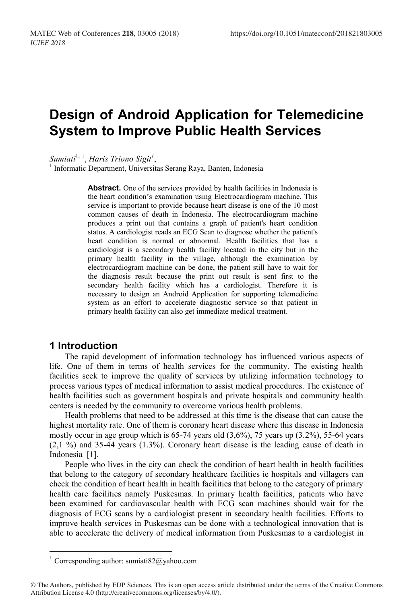# **Design of Android Application for Telemedicine System to Improve Public Health Services**

 $Sumiati<sup>1, 1</sup>, Harris Triono Sigit<sup>1</sup>$ 

<sup>1</sup> Informatic Department, Universitas Serang Raya, Banten, Indonesia

**Abstract.** One of the services provided by health facilities in Indonesia is the heart condition's examination using Electrocardiogram machine. This service is important to provide because heart disease is one of the 10 most common causes of death in Indonesia. The electrocardiogram machine produces a print out that contains a graph of patient's heart condition status. A cardiologist reads an ECG Scan to diagnose whether the patient's heart condition is normal or abnormal. Health facilities that has a cardiologist is a secondary health facility located in the city but in the primary health facility in the village, although the examination by electrocardiogram machine can be done, the patient still have to wait for the diagnosis result because the print out result is sent first to the secondary health facility which has a cardiologist. Therefore it is necessary to design an Android Application for supporting telemedicine system as an effort to accelerate diagnostic service so that patient in primary health facility can also get immediate medical treatment.

#### **1 Introduction**

The rapid development of information technology has influenced various aspects of life. One of them in terms of health services for the community. The existing health facilities seek to improve the quality of services by utilizing information technology to process various types of medical information to assist medical procedures. The existence of health facilities such as government hospitals and private hospitals and community health centers is needed by the community to overcome various health problems.

Health problems that need to be addressed at this time is the disease that can cause the highest mortality rate. One of them is coronary heart disease where this disease in Indonesia mostly occur in age group which is  $65-74$  years old  $(3,6\%)$ , 75 years up  $(3.2\%)$ , 55-64 years (2,1 %) and 35-44 years (1.3%). Coronary heart disease is the leading cause of death in Indonesia [1].

People who lives in the city can check the condition of heart health in health facilities that belong to the category of secondary healthcare facilities ie hospitals and villagers can check the condition of heart health in health facilities that belong to the category of primary health care facilities namely Puskesmas. In primary health facilities, patients who have been examined for cardiovascular health with ECG scan machines should wait for the diagnosis of ECG scans by a cardiologist present in secondary health facilities. Efforts to improve health services in Puskesmas can be done with a technological innovation that is able to accelerate the delivery of medical information from Puskesmas to a cardiologist in

 $1$  Corresponding author: sumiati $82@y$ ahoo.com

<sup>©</sup> The Authors, published by EDP Sciences. This is an open access article distributed under the terms of the Creative Commons Attribution License 4.0 (http://creativecommons.org/licenses/by/4.0/).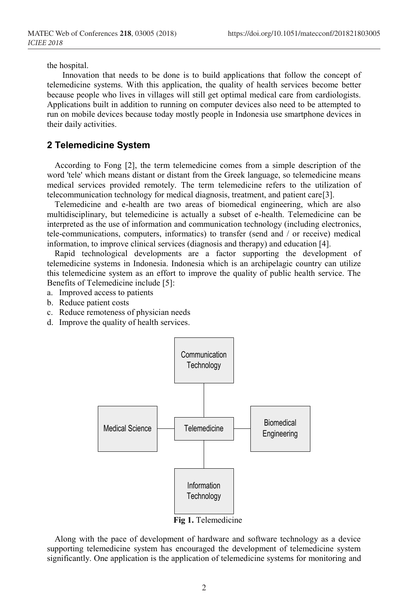the hospital.

Innovation that needs to be done is to build applications that follow the concept of telemedicine systems. With this application, the quality of health services become better because people who lives in villages will still get optimal medical care from cardiologists. Applications built in addition to running on computer devices also need to be attempted to run on mobile devices because today mostly people in Indonesia use smartphone devices in their daily activities.

#### **2 Telemedicine System**

According to Fong [2], the term telemedicine comes from a simple description of the word 'tele' which means distant or distant from the Greek language, so telemedicine means medical services provided remotely. The term telemedicine refers to the utilization of telecommunication technology for medical diagnosis, treatment, and patient care[3].

Telemedicine and e-health are two areas of biomedical engineering, which are also multidisciplinary, but telemedicine is actually a subset of e-health. Telemedicine can be interpreted as the use of information and communication technology (including electronics, tele-communications, computers, informatics) to transfer (send and / or receive) medical information, to improve clinical services (diagnosis and therapy) and education [4].

Rapid technological developments are a factor supporting the development of telemedicine systems in Indonesia. Indonesia which is an archipelagic country can utilize this telemedicine system as an effort to improve the quality of public health service. The Benefits of Telemedicine include [5]:

- a. Improved access to patients
- b. Reduce patient costs
- c. Reduce remoteness of physician needs
- d. Improve the quality of health services.



**Fig 1.** Telemedicine

Along with the pace of development of hardware and software technology as a device supporting telemedicine system has encouraged the development of telemedicine system significantly. One application is the application of telemedicine systems for monitoring and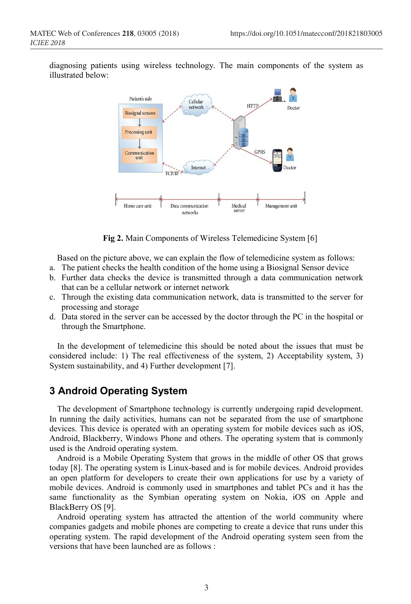diagnosing patients using wireless technology. The main components of the system as illustrated below:



**Fig 2.** Main Components of Wireless Telemedicine System [6]

Based on the picture above, we can explain the flow of telemedicine system as follows:

- a. The patient checks the health condition of the home using a Biosignal Sensor device
- b. Further data checks the device is transmitted through a data communication network that can be a cellular network or internet network
- c. Through the existing data communication network, data is transmitted to the server for processing and storage
- d. Data stored in the server can be accessed by the doctor through the PC in the hospital or through the Smartphone.

In the development of telemedicine this should be noted about the issues that must be considered include: 1) The real effectiveness of the system, 2) Acceptability system, 3) System sustainability, and 4) Further development [7].

## **3 Android Operating System**

The development of Smartphone technology is currently undergoing rapid development. In running the daily activities, humans can not be separated from the use of smartphone devices. This device is operated with an operating system for mobile devices such as iOS, Android, Blackberry, Windows Phone and others. The operating system that is commonly used is the Android operating system.

Android is a Mobile Operating System that grows in the middle of other OS that grows today [8]. The operating system is Linux-based and is for mobile devices. Android provides an open platform for developers to create their own applications for use by a variety of mobile devices. Android is commonly used in smartphones and tablet PCs and it has the same functionality as the Symbian operating system on Nokia, iOS on Apple and BlackBerry OS [9].

Android operating system has attracted the attention of the world community where companies gadgets and mobile phones are competing to create a device that runs under this operating system. The rapid development of the Android operating system seen from the versions that have been launched are as follows :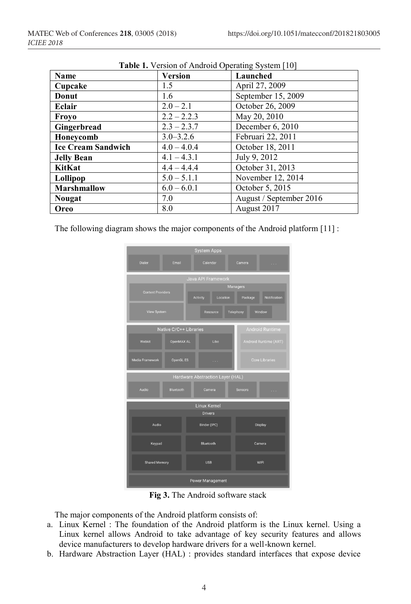| Name                      | <b>Thore</b> I. Tension of This can operating by stem $ 10 $<br><b>Version</b> | Launched                |
|---------------------------|--------------------------------------------------------------------------------|-------------------------|
| Cupcake                   | 1.5                                                                            | April 27, 2009          |
| Donut                     | 1.6                                                                            | September 15, 2009      |
| Eclair                    | $2.0 - 2.1$                                                                    | October 26, 2009        |
| Froyo                     | $2.2 - 2.2.3$                                                                  | May 20, 2010            |
| Gingerbread               | $2.3 - 2.3.7$                                                                  | December 6, 2010        |
| Honeycomb                 | $3.0 - 3.2.6$                                                                  | Februari 22, 2011       |
| <b>Ice Cream Sandwich</b> | $4.0 - 4.0.4$                                                                  | October 18, 2011        |
| <b>Jelly Bean</b>         | $4.1 - 4.3.1$                                                                  | July 9, 2012            |
| <b>KitKat</b>             | $4.4 - 4.4.4$                                                                  | October 31, 2013        |
| Lollipop                  | $5.0 - 5.1.1$                                                                  | November 12, 2014       |
| <b>Marshmallow</b>        | $6.0 - 6.0.1$                                                                  | October 5, 2015         |
| <b>Nougat</b>             | 7.0                                                                            | August / September 2016 |
| <b>Oreo</b>               | 8.0                                                                            | August 2017             |

**Table 1.** Version of Android Operating System [10]

The following diagram shows the major components of the Android platform [11] :



**Fig 3.** The Android software stack

The major components of the Android platform consists of:

- a. Linux Kernel : The foundation of the Android platform is the Linux kernel. Using a Linux kernel allows Android to take advantage of key security features and allows device manufacturers to develop hardware drivers for a well-known kernel.
- b. Hardware Abstraction Layer (HAL) : provides standard interfaces that expose device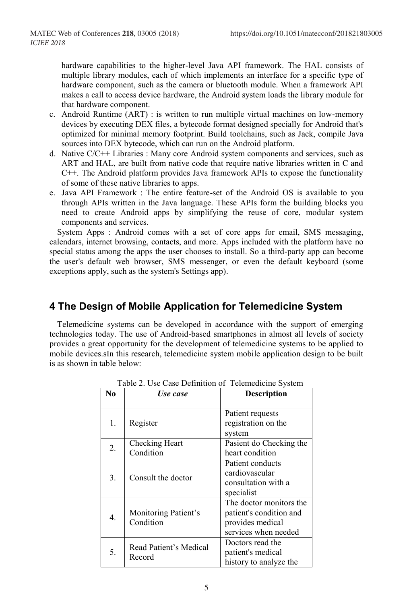hardware capabilities to the higher-level Java API framework. The HAL consists of multiple library modules, each of which implements an interface for a specific type of hardware component, such as the camera or bluetooth module. When a framework API makes a call to access device hardware, the Android system loads the library module for that hardware component.

- c. Android Runtime (ART) : is written to run multiple virtual machines on low-memory devices by executing DEX files, a bytecode format designed specially for Android that's optimized for minimal memory footprint. Build toolchains, such as Jack, compile Java sources into DEX bytecode, which can run on the Android platform.
- d. Native C/C++ Libraries : Many core Android system components and services, such as ART and HAL, are built from native code that require native libraries written in C and C++. The Android platform provides Java framework APIs to expose the functionality of some of these native libraries to apps.
- e. Java API Framework : The entire feature-set of the Android OS is available to you through APIs written in the Java language. These APIs form the building blocks you need to create Android apps by simplifying the reuse of core, modular system components and services.

System Apps : Android comes with a set of core apps for email, SMS messaging, calendars, internet browsing, contacts, and more. Apps included with the platform have no special status among the apps the user chooses to install. So a third-party app can become the user's default web browser, SMS messenger, or even the default keyboard (some exceptions apply, such as the system's Settings app).

## **4 The Design of Mobile Application for Telemedicine System**

Telemedicine systems can be developed in accordance with the support of emerging technologies today. The use of Android-based smartphones in almost all levels of society provides a great opportunity for the development of telemedicine systems to be applied to mobile devices.sIn this research, telemedicine system mobile application design to be built is as shown in table below:

| No            | Use case                          | <b>Description</b>                                                                             |
|---------------|-----------------------------------|------------------------------------------------------------------------------------------------|
|               |                                   |                                                                                                |
| 1.            | Register                          | Patient requests<br>registration on the<br>system                                              |
| 2.            | Checking Heart                    | Pasient do Checking the                                                                        |
|               | Condition                         | heart condition                                                                                |
| 3.            | Consult the doctor                | Patient conducts<br>cardiovascular<br>consultation with a<br>specialist                        |
| $\mathbf 4$ . | Monitoring Patient's<br>Condition | The doctor monitors the<br>patient's condition and<br>provides medical<br>services when needed |
| 5.            | Read Patient's Medical<br>Record  | Doctors read the<br>patient's medical<br>history to analyze the                                |

Table 2. Use Case Definition of Telemedicine System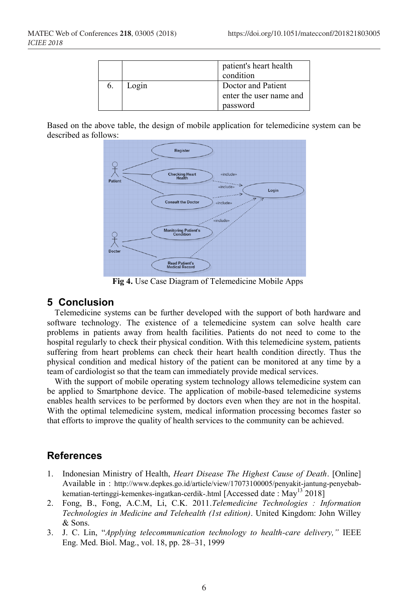|       | patient's heart health<br>condition           |
|-------|-----------------------------------------------|
| Login | Doctor and Patient<br>enter the user name and |
|       | password                                      |

Based on the above table, the design of mobile application for telemedicine system can be described as follows:



**Fig 4.** Use Case Diagram of Telemedicine Mobile Apps

#### **5 Conclusion**

Telemedicine systems can be further developed with the support of both hardware and software technology. The existence of a telemedicine system can solve health care problems in patients away from health facilities. Patients do not need to come to the hospital regularly to check their physical condition. With this telemedicine system, patients suffering from heart problems can check their heart health condition directly. Thus the physical condition and medical history of the patient can be monitored at any time by a team of cardiologist so that the team can immediately provide medical services.

With the support of mobile operating system technology allows telemedicine system can be applied to Smartphone device. The application of mobile-based telemedicine systems enables health services to be performed by doctors even when they are not in the hospital. With the optimal telemedicine system, medical information processing becomes faster so that efforts to improve the quality of health services to the community can be achieved.

## **References**

- 1. Indonesian Ministry of Health, *Heart Disease The Highest Cause of Death*. [Online] Available in : http://www.depkes.go.id/article/view/17073100005/penyakit-jantung-penyebabkematian-tertinggi-kemenkes-ingatkan-cerdik-.html [Accessed date : May<sup>13</sup> 2018]
- 2. Fong, B., Fong, A.C.M, Li, C.K. 2011.*Telemedicine Technologies : Information Technologies in Medicine and Telehealth (1st edition)*. United Kingdom: John Willey & Sons.
- 3. J. C. Lin, "*Applying telecommunication technology to health-care delivery,"* IEEE Eng. Med. Biol. Mag., vol. 18, pp. 28–31, 1999